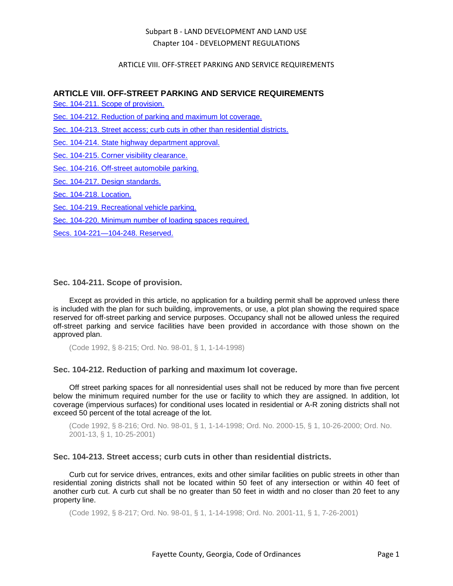#### ARTICLE VIII. OFF-STREET PARKING AND SERVICE REQUIREMENTS

### **ARTICLE VIII. OFF-STREET PARKING AND SERVICE REQUIREMENTS**

[Sec. 104-211. Scope of provision.](#page-0-0)

[Sec. 104-212. Reduction of parking and maximum lot coverage.](#page-0-1)

[Sec. 104-213. Street access; curb cuts in other than residential districts.](#page-0-2)

[Sec. 104-214. State highway department approval.](#page-1-0)

[Sec. 104-215. Corner visibility clearance.](#page-1-1)

[Sec. 104-216. Off-street automobile parking.](#page-1-2)

[Sec. 104-217. Design standards.](#page-1-3)

[Sec. 104-218. Location.](#page-2-0)

[Sec. 104-219. Recreational vehicle parking.](#page-3-0)

[Sec. 104-220. Minimum number of loading spaces required.](#page-3-1)

[Secs. 104-221—104-248. Reserved.](#page-3-2)

#### <span id="page-0-0"></span>**Sec. 104-211. Scope of provision.**

Except as provided in this article, no application for a building permit shall be approved unless there is included with the plan for such building, improvements, or use, a plot plan showing the required space reserved for off-street parking and service purposes. Occupancy shall not be allowed unless the required off-street parking and service facilities have been provided in accordance with those shown on the approved plan.

(Code 1992, § 8-215; Ord. No. 98-01, § 1, 1-14-1998)

#### <span id="page-0-1"></span>**Sec. 104-212. Reduction of parking and maximum lot coverage.**

Off street parking spaces for all nonresidential uses shall not be reduced by more than five percent below the minimum required number for the use or facility to which they are assigned. In addition, lot coverage (impervious surfaces) for conditional uses located in residential or A-R zoning districts shall not exceed 50 percent of the total acreage of the lot.

(Code 1992, § 8-216; Ord. No. 98-01, § 1, 1-14-1998; Ord. No. 2000-15, § 1, 10-26-2000; Ord. No. 2001-13, § 1, 10-25-2001)

### <span id="page-0-2"></span>**Sec. 104-213. Street access; curb cuts in other than residential districts.**

Curb cut for service drives, entrances, exits and other similar facilities on public streets in other than residential zoning districts shall not be located within 50 feet of any intersection or within 40 feet of another curb cut. A curb cut shall be no greater than 50 feet in width and no closer than 20 feet to any property line.

(Code 1992, § 8-217; Ord. No. 98-01, § 1, 1-14-1998; Ord. No. 2001-11, § 1, 7-26-2001)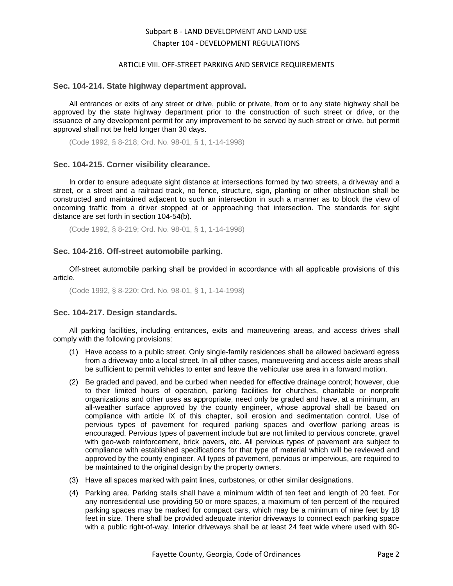#### ARTICLE VIII. OFF-STREET PARKING AND SERVICE REQUIREMENTS

#### <span id="page-1-0"></span>**Sec. 104-214. State highway department approval.**

All entrances or exits of any street or drive, public or private, from or to any state highway shall be approved by the state highway department prior to the construction of such street or drive, or the issuance of any development permit for any improvement to be served by such street or drive, but permit approval shall not be held longer than 30 days.

(Code 1992, § 8-218; Ord. No. 98-01, § 1, 1-14-1998)

#### <span id="page-1-1"></span>**Sec. 104-215. Corner visibility clearance.**

In order to ensure adequate sight distance at intersections formed by two streets, a driveway and a street, or a street and a railroad track, no fence, structure, sign, planting or other obstruction shall be constructed and maintained adjacent to such an intersection in such a manner as to block the view of oncoming traffic from a driver stopped at or approaching that intersection. The standards for sight distance are set forth in section 104-54(b).

(Code 1992, § 8-219; Ord. No. 98-01, § 1, 1-14-1998)

#### <span id="page-1-2"></span>**Sec. 104-216. Off-street automobile parking.**

Off-street automobile parking shall be provided in accordance with all applicable provisions of this article.

(Code 1992, § 8-220; Ord. No. 98-01, § 1, 1-14-1998)

## <span id="page-1-3"></span>**Sec. 104-217. Design standards.**

All parking facilities, including entrances, exits and maneuvering areas, and access drives shall comply with the following provisions:

- (1) Have access to a public street. Only single-family residences shall be allowed backward egress from a driveway onto a local street. In all other cases, maneuvering and access aisle areas shall be sufficient to permit vehicles to enter and leave the vehicular use area in a forward motion.
- (2) Be graded and paved, and be curbed when needed for effective drainage control; however, due to their limited hours of operation, parking facilities for churches, charitable or nonprofit organizations and other uses as appropriate, need only be graded and have, at a minimum, an all-weather surface approved by the county engineer, whose approval shall be based on compliance with article IX of this chapter, soil erosion and sedimentation control. Use of pervious types of pavement for required parking spaces and overflow parking areas is encouraged. Pervious types of pavement include but are not limited to pervious concrete, gravel with geo-web reinforcement, brick pavers, etc. All pervious types of pavement are subject to compliance with established specifications for that type of material which will be reviewed and approved by the county engineer. All types of pavement, pervious or impervious, are required to be maintained to the original design by the property owners.
- (3) Have all spaces marked with paint lines, curbstones, or other similar designations.
- (4) Parking area. Parking stalls shall have a minimum width of ten feet and length of 20 feet. For any nonresidential use providing 50 or more spaces, a maximum of ten percent of the required parking spaces may be marked for compact cars, which may be a minimum of nine feet by 18 feet in size. There shall be provided adequate interior driveways to connect each parking space with a public right-of-way. Interior driveways shall be at least 24 feet wide where used with 90-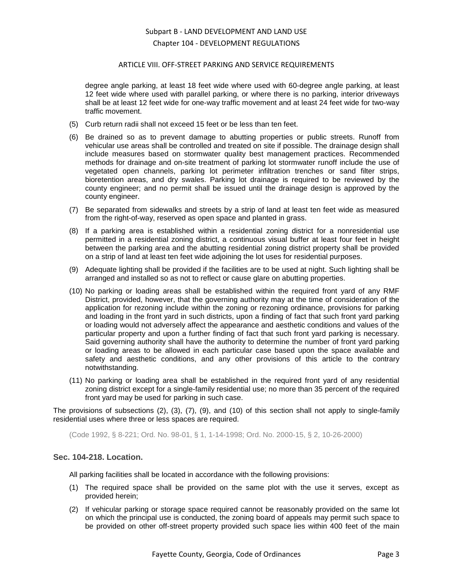#### ARTICLE VIII. OFF-STREET PARKING AND SERVICE REQUIREMENTS

degree angle parking, at least 18 feet wide where used with 60-degree angle parking, at least 12 feet wide where used with parallel parking, or where there is no parking, interior driveways shall be at least 12 feet wide for one-way traffic movement and at least 24 feet wide for two-way traffic movement.

- (5) Curb return radii shall not exceed 15 feet or be less than ten feet.
- (6) Be drained so as to prevent damage to abutting properties or public streets. Runoff from vehicular use areas shall be controlled and treated on site if possible. The drainage design shall include measures based on stormwater quality best management practices. Recommended methods for drainage and on-site treatment of parking lot stormwater runoff include the use of vegetated open channels, parking lot perimeter infiltration trenches or sand filter strips, bioretention areas, and dry swales. Parking lot drainage is required to be reviewed by the county engineer; and no permit shall be issued until the drainage design is approved by the county engineer.
- (7) Be separated from sidewalks and streets by a strip of land at least ten feet wide as measured from the right-of-way, reserved as open space and planted in grass.
- (8) If a parking area is established within a residential zoning district for a nonresidential use permitted in a residential zoning district, a continuous visual buffer at least four feet in height between the parking area and the abutting residential zoning district property shall be provided on a strip of land at least ten feet wide adjoining the lot uses for residential purposes.
- (9) Adequate lighting shall be provided if the facilities are to be used at night. Such lighting shall be arranged and installed so as not to reflect or cause glare on abutting properties.
- (10) No parking or loading areas shall be established within the required front yard of any RMF District, provided, however, that the governing authority may at the time of consideration of the application for rezoning include within the zoning or rezoning ordinance, provisions for parking and loading in the front yard in such districts, upon a finding of fact that such front yard parking or loading would not adversely affect the appearance and aesthetic conditions and values of the particular property and upon a further finding of fact that such front yard parking is necessary. Said governing authority shall have the authority to determine the number of front yard parking or loading areas to be allowed in each particular case based upon the space available and safety and aesthetic conditions, and any other provisions of this article to the contrary notwithstanding.
- (11) No parking or loading area shall be established in the required front yard of any residential zoning district except for a single-family residential use; no more than 35 percent of the required front yard may be used for parking in such case.

The provisions of subsections (2), (3), (7), (9), and (10) of this section shall not apply to single-family residential uses where three or less spaces are required.

(Code 1992, § 8-221; Ord. No. 98-01, § 1, 1-14-1998; Ord. No. 2000-15, § 2, 10-26-2000)

### <span id="page-2-0"></span>**Sec. 104-218. Location.**

All parking facilities shall be located in accordance with the following provisions:

- (1) The required space shall be provided on the same plot with the use it serves, except as provided herein;
- (2) If vehicular parking or storage space required cannot be reasonably provided on the same lot on which the principal use is conducted, the zoning board of appeals may permit such space to be provided on other off-street property provided such space lies within 400 feet of the main